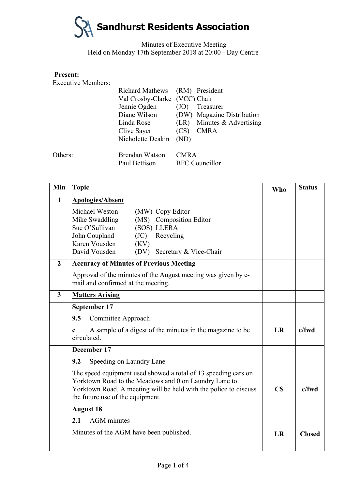

Minutes of Executive Meeting Held on Monday 17th September 2018 at 20:00 - Day Centre

### **Present:**

Executive Members:

|         | Richard Mathews (RM) President |             |                            |
|---------|--------------------------------|-------------|----------------------------|
|         | Val Crosby-Clarke (VCC) Chair  |             |                            |
|         | Jennie Ogden                   | (JO)        | Treasurer                  |
|         | Diane Wilson                   |             | (DW) Magazine Distribution |
|         | Linda Rose                     | (LR)        | Minutes & Advertising      |
|         | Clive Sayer                    | (CS)        | <b>CMRA</b>                |
|         | Nicholette Deakin              | (ND)        |                            |
| Others: | Brendan Watson                 | <b>CMRA</b> |                            |
|         | Paul Bettison                  |             | <b>BFC</b> Councillor      |
|         |                                |             |                            |

| Min            | <b>Topic</b>                                                                                                                                                                                                                       | <b>Who</b>             | <b>Status</b> |
|----------------|------------------------------------------------------------------------------------------------------------------------------------------------------------------------------------------------------------------------------------|------------------------|---------------|
| $\mathbf{1}$   | <b>Apologies/Absent</b>                                                                                                                                                                                                            |                        |               |
|                | Michael Weston<br>(MW) Copy Editor<br>Mike Swaddling<br>(MS) Composition Editor<br>Sue O'Sullivan<br>(SOS) LLERA<br>John Coupland<br>Recycling<br>(JC)<br>Karen Vousden<br>(KV)<br>David Vousden<br>(DV)<br>Secretary & Vice-Chair |                        |               |
| $\overline{2}$ | <b>Accuracy of Minutes of Previous Meeting</b>                                                                                                                                                                                     |                        |               |
|                | Approval of the minutes of the August meeting was given by e-<br>mail and confirmed at the meeting.                                                                                                                                |                        |               |
| $\overline{3}$ | <b>Matters Arising</b>                                                                                                                                                                                                             |                        |               |
|                | September 17                                                                                                                                                                                                                       |                        |               |
|                | 9.5<br>Committee Approach                                                                                                                                                                                                          |                        |               |
|                | A sample of a digest of the minutes in the magazine to be<br>c<br>circulated.                                                                                                                                                      | <b>LR</b>              | $c$ /fwd      |
|                | December 17                                                                                                                                                                                                                        |                        |               |
|                | 9.2<br>Speeding on Laundry Lane                                                                                                                                                                                                    |                        |               |
|                | The speed equipment used showed a total of 13 speeding cars on<br>Yorktown Road to the Meadows and 0 on Laundry Lane to<br>Yorktown Road. A meeting will be held with the police to discuss<br>the future use of the equipment.    | $\overline{\text{CS}}$ | $c$ /fwd      |
|                | <b>August 18</b>                                                                                                                                                                                                                   |                        |               |
|                | <b>AGM</b> minutes<br>2.1                                                                                                                                                                                                          |                        |               |
|                | Minutes of the AGM have been published.                                                                                                                                                                                            | LR                     | <b>Closed</b> |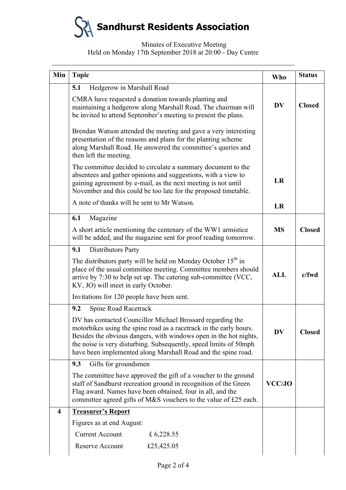

## Minutes of Executive Meeting Held on Monday 17th September 2018 at 20:00 - Day Centre

| Min                     | <b>Topic</b>                                                                                                                                                                                                                                                                                                                                | Who           | <b>Status</b> |
|-------------------------|---------------------------------------------------------------------------------------------------------------------------------------------------------------------------------------------------------------------------------------------------------------------------------------------------------------------------------------------|---------------|---------------|
|                         | Hedgerow in Marshall Road<br>5.1                                                                                                                                                                                                                                                                                                            |               |               |
|                         | CMRA have requested a donation towards planting and<br>maintaining a hedgerow along Marshall Road. The chairman will<br>be invited to attend September's meeting to present the plans.                                                                                                                                                      |               | <b>Closed</b> |
|                         | Brendan Watson attended the meeting and gave a very interesting<br>presentation of the reasons and plans for the planting scheme<br>along Marshall Road. He answered the committee's queries and<br>then left the meeting.                                                                                                                  |               |               |
|                         | The committee decided to circulate a summary document to the<br>absentees and gather opinions and suggestions, with a view to<br>gaining agreement by e-mail, as the next meeting is not until<br>November and this could be too late for the proposed timetable.                                                                           | LR            |               |
|                         | A note of thanks will be sent to Mr Watson.                                                                                                                                                                                                                                                                                                 | LR            |               |
|                         | Magazine<br>6.1                                                                                                                                                                                                                                                                                                                             |               |               |
|                         | A short article mentioning the centenary of the WW1 armistice<br>will be added, and the magazine sent for proof reading tomorrow.                                                                                                                                                                                                           | <b>MS</b>     | <b>Closed</b> |
|                         | Distributors Party<br>9.1                                                                                                                                                                                                                                                                                                                   |               |               |
|                         | The distributors party will be held on Monday October 15 <sup>th</sup> in<br>place of the usual committee meeting. Committee members should<br>arrive by 7:30 to help set up. The catering sub-committee (VCC,<br>KV, JO) will meet in early October.                                                                                       | <b>ALL</b>    | $c$ /fwd      |
|                         | Invitations for 120 people have been sent.                                                                                                                                                                                                                                                                                                  |               |               |
|                         | 9.2<br>Spine Road Racetrack                                                                                                                                                                                                                                                                                                                 |               |               |
|                         | DV has contacted Councillor Michael Brossard regarding the<br>motorbikes using the spine road as a racetrack in the early hours.<br>Besides the obvious dangers, with windows open in the hot nights,<br>the noise is very disturbing. Subsequently, speed limits of 50mph<br>have been implemented along Marshall Road and the spine road. | <b>DV</b>     | <b>Closed</b> |
|                         | Gifts for groundsmen<br>9.3                                                                                                                                                                                                                                                                                                                 |               |               |
|                         | The committee have approved the gift of a voucher to the ground<br>staff of Sandhurst recreation ground in recognition of the Green<br>Flag award. Names have been obtained, four in all, and the<br>committee agreed gifts of M&S vouchers to the value of £25 each.                                                                       | <b>VCC/JO</b> |               |
| $\overline{\mathbf{4}}$ | <b>Treasurer's Report</b>                                                                                                                                                                                                                                                                                                                   |               |               |
|                         | Figures as at end August:                                                                                                                                                                                                                                                                                                                   |               |               |
|                         | <b>Current Account</b><br>£ 6,228.55                                                                                                                                                                                                                                                                                                        |               |               |
|                         | Reserve Account<br>£25,425.05                                                                                                                                                                                                                                                                                                               |               |               |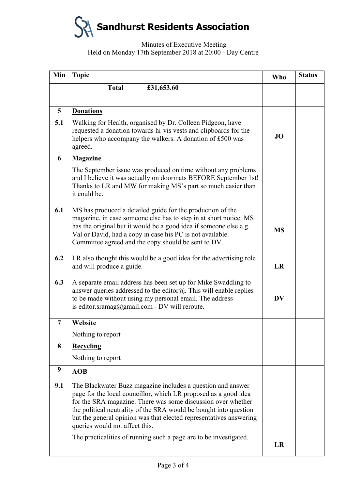**Sandhurst Residents Association**

# Minutes of Executive Meeting Held on Monday 17th September 2018 at 20:00 - Day Centre

| Min | <b>Topic</b>                                                                                                                                                                                                                                                                                                                                                                                                                                     | Who       | <b>Status</b> |
|-----|--------------------------------------------------------------------------------------------------------------------------------------------------------------------------------------------------------------------------------------------------------------------------------------------------------------------------------------------------------------------------------------------------------------------------------------------------|-----------|---------------|
|     | <b>Total</b><br>£31,653.60                                                                                                                                                                                                                                                                                                                                                                                                                       |           |               |
|     |                                                                                                                                                                                                                                                                                                                                                                                                                                                  |           |               |
| 5   | <b>Donations</b>                                                                                                                                                                                                                                                                                                                                                                                                                                 |           |               |
| 5.1 | Walking for Health, organised by Dr. Colleen Pidgeon, have<br>requested a donation towards hi-vis vests and clipboards for the<br>helpers who accompany the walkers. A donation of £500 was<br>agreed.                                                                                                                                                                                                                                           | <b>JO</b> |               |
| 6   | <b>Magazine</b>                                                                                                                                                                                                                                                                                                                                                                                                                                  |           |               |
|     | The September issue was produced on time without any problems<br>and I believe it was actually on doormats BEFORE September 1st!<br>Thanks to LR and MW for making MS's part so much easier than<br>it could be.                                                                                                                                                                                                                                 |           |               |
| 6.1 | MS has produced a detailed guide for the production of the<br>magazine, in case someone else has to step in at short notice. MS<br>has the original but it would be a good idea if someone else e.g.<br>Val or David, had a copy in case his PC is not available.<br>Committee agreed and the copy should be sent to DV.                                                                                                                         | <b>MS</b> |               |
| 6.2 | LR also thought this would be a good idea for the advertising role<br>and will produce a guide.                                                                                                                                                                                                                                                                                                                                                  | LR        |               |
| 6.3 | A separate email address has been set up for Mike Swaddling to<br>answer queries addressed to the editor $@$ . This will enable replies<br>to be made without using my personal email. The address<br>is editor.sramag@gmail.com - DV will reroute.                                                                                                                                                                                              | <b>DV</b> |               |
| 7   | Website                                                                                                                                                                                                                                                                                                                                                                                                                                          |           |               |
|     | Nothing to report                                                                                                                                                                                                                                                                                                                                                                                                                                |           |               |
| 8   | <b>Recycling</b>                                                                                                                                                                                                                                                                                                                                                                                                                                 |           |               |
|     | Nothing to report                                                                                                                                                                                                                                                                                                                                                                                                                                |           |               |
| 9   | <b>AOB</b>                                                                                                                                                                                                                                                                                                                                                                                                                                       |           |               |
| 9.1 | The Blackwater Buzz magazine includes a question and answer<br>page for the local councillor, which LR proposed as a good idea<br>for the SRA magazine. There was some discussion over whether<br>the political neutrality of the SRA would be bought into question<br>but the general opinion was that elected representatives answering<br>queries would not affect this.<br>The practicalities of running such a page are to be investigated. |           |               |
|     |                                                                                                                                                                                                                                                                                                                                                                                                                                                  | LR        |               |